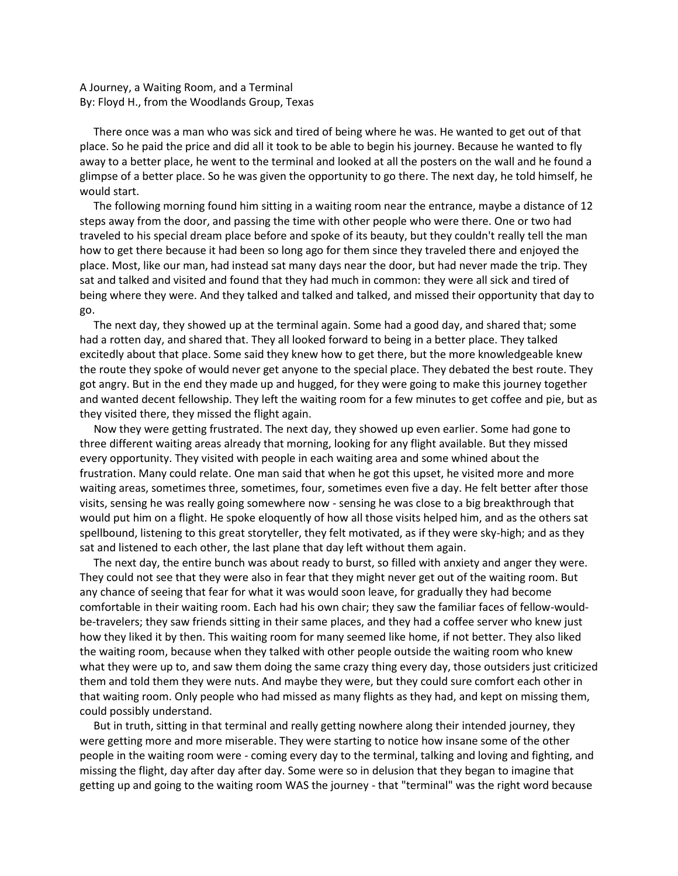A Journey, a Waiting Room, and a Terminal By: Floyd H., from the Woodlands Group, Texas

 There once was a man who was sick and tired of being where he was. He wanted to get out of that place. So he paid the price and did all it took to be able to begin his journey. Because he wanted to fly away to a better place, he went to the terminal and looked at all the posters on the wall and he found a glimpse of a better place. So he was given the opportunity to go there. The next day, he told himself, he would start.

 The following morning found him sitting in a waiting room near the entrance, maybe a distance of 12 steps away from the door, and passing the time with other people who were there. One or two had traveled to his special dream place before and spoke of its beauty, but they couldn't really tell the man how to get there because it had been so long ago for them since they traveled there and enjoyed the place. Most, like our man, had instead sat many days near the door, but had never made the trip. They sat and talked and visited and found that they had much in common: they were all sick and tired of being where they were. And they talked and talked and talked, and missed their opportunity that day to go.

 The next day, they showed up at the terminal again. Some had a good day, and shared that; some had a rotten day, and shared that. They all looked forward to being in a better place. They talked excitedly about that place. Some said they knew how to get there, but the more knowledgeable knew the route they spoke of would never get anyone to the special place. They debated the best route. They got angry. But in the end they made up and hugged, for they were going to make this journey together and wanted decent fellowship. They left the waiting room for a few minutes to get coffee and pie, but as they visited there, they missed the flight again.

 Now they were getting frustrated. The next day, they showed up even earlier. Some had gone to three different waiting areas already that morning, looking for any flight available. But they missed every opportunity. They visited with people in each waiting area and some whined about the frustration. Many could relate. One man said that when he got this upset, he visited more and more waiting areas, sometimes three, sometimes, four, sometimes even five a day. He felt better after those visits, sensing he was really going somewhere now - sensing he was close to a big breakthrough that would put him on a flight. He spoke eloquently of how all those visits helped him, and as the others sat spellbound, listening to this great storyteller, they felt motivated, as if they were sky-high; and as they sat and listened to each other, the last plane that day left without them again.

 The next day, the entire bunch was about ready to burst, so filled with anxiety and anger they were. They could not see that they were also in fear that they might never get out of the waiting room. But any chance of seeing that fear for what it was would soon leave, for gradually they had become comfortable in their waiting room. Each had his own chair; they saw the familiar faces of fellow-wouldbe-travelers; they saw friends sitting in their same places, and they had a coffee server who knew just how they liked it by then. This waiting room for many seemed like home, if not better. They also liked the waiting room, because when they talked with other people outside the waiting room who knew what they were up to, and saw them doing the same crazy thing every day, those outsiders just criticized them and told them they were nuts. And maybe they were, but they could sure comfort each other in that waiting room. Only people who had missed as many flights as they had, and kept on missing them, could possibly understand.

 But in truth, sitting in that terminal and really getting nowhere along their intended journey, they were getting more and more miserable. They were starting to notice how insane some of the other people in the waiting room were - coming every day to the terminal, talking and loving and fighting, and missing the flight, day after day after day. Some were so in delusion that they began to imagine that getting up and going to the waiting room WAS the journey - that "terminal" was the right word because